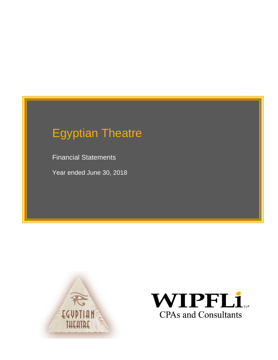Financial Statements

Year ended June 30, 2018



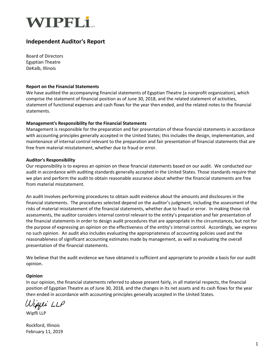

#### **Independent Auditor's Report**

Board of Directors Egyptian Theatre DeKalb, Illinois

#### **Report on the Financial Statements**

We have audited the accompanying financial statements of Egyptian Theatre (a nonprofit organization), which comprise the statement of financial position as of June 30, 2018, and the related statement of activities, statement of functional expenses and cash flows for the year then ended, and the related notes to the financial statements.

#### **Management's Responsibility for the Financial Statements**

Management is responsible for the preparation and fair presentation of these financial statements in accordance with accounting principles generally accepted in the United States; this includes the design, implementation, and maintenance of internal control relevant to the preparation and fair presentation of financial statements that are free from material misstatement, whether due to fraud or error.

#### **Auditor's Responsibility**

Our responsibility is to express an opinion on these financial statements based on our audit. We conducted our audit in accordance with auditing standards generally accepted in the United States. Those standards require that we plan and perform the audit to obtain reasonable assurance about whether the financial statements are free from material misstatement.

An audit involves performing procedures to obtain audit evidence about the amounts and disclosures in the financial statements. The procedures selected depend on the auditor's judgment, including the assessment of the risks of material misstatement of the financial statements, whether due to fraud or error. In making those risk assessments, the auditor considers internal control relevant to the entity's preparation and fair presentation of the financial statements in order to design audit procedures that are appropriate in the circumstances, but not for the purpose of expressing an opinion on the effectiveness of the entity's internal control. Accordingly, we express no such opinion. An audit also includes evaluating the appropriateness of accounting policies used and the reasonableness of significant accounting estimates made by management, as well as evaluating the overall presentation of the financial statements.

We believe that the audit evidence we have obtained is sufficient and appropriate to provide a basis for our audit opinion.

#### **Opinion**

In our opinion, the financial statements referred to above present fairly, in all material respects, the financial position of Egyptian Theatre as of June 30, 2018, and the changes in its net assets and its cash flows for the year then ended in accordance with accounting principles generally accepted in the United States.

Wipfei LLP

Wipfli LLP

Rockford, Illinois February 11, 2019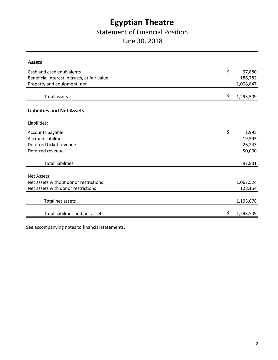### Statement of Financial Position

June 30, 2018

| <b>Assets</b>                                |    |           |
|----------------------------------------------|----|-----------|
| Cash and cash equivalents                    | \$ | 97,880    |
| Beneficial interest in trusts, at fair value |    | 186,782   |
| Property and equipment, net                  |    | 1,008,847 |
|                                              |    |           |
| <b>Total assets</b>                          | S. | 1,293,509 |
|                                              |    |           |
| <b>Liabilities and Net Assets</b>            |    |           |
| Liabilities:                                 |    |           |
|                                              |    |           |
| Accounts payable                             | \$ | 1,995     |
| <b>Accrued liabilities</b>                   |    | 19,593    |
| Deferred ticket revenue                      |    | 26,243    |
| Deferred revenue                             |    | 50,000    |
|                                              |    |           |
| <b>Total liabilities</b>                     |    | 97,831    |
|                                              |    |           |
| Net Assets:                                  |    |           |
| Net assets without donor restrictions        |    | 1,067,524 |
| Net assets with donor restrictions           |    | 128,154   |
|                                              |    |           |
| Total net assets                             |    | 1,195,678 |
| Total liabilities and net assets             | \$ |           |
|                                              |    | 1,293,509 |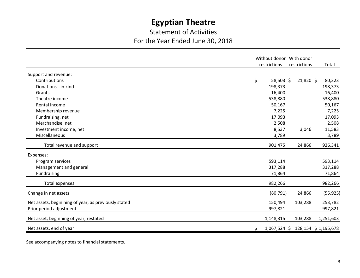### Statement of Activities For the Year Ended June 30, 2018

|                                                                                 | restrictions        | Without donor With donor<br>restrictions | Total               |
|---------------------------------------------------------------------------------|---------------------|------------------------------------------|---------------------|
| Support and revenue:                                                            |                     |                                          |                     |
| Contributions                                                                   | \$<br>58,503 \$     | 21,820 \$                                | 80,323              |
| Donations - in kind                                                             | 198,373             |                                          | 198,373             |
| Grants                                                                          | 16,400              |                                          | 16,400              |
| Theatre income                                                                  | 538,880             |                                          | 538,880             |
| Rental income                                                                   | 50,167              |                                          | 50,167              |
| Membership revenue                                                              | 7,225               |                                          | 7,225               |
| Fundraising, net                                                                | 17,093              |                                          | 17,093              |
| Merchandise, net                                                                | 2,508               |                                          | 2,508               |
| Investment income, net                                                          | 8,537               | 3,046                                    | 11,583              |
| Miscellaneous                                                                   | 3,789               |                                          | 3,789               |
| Total revenue and support                                                       | 901,475             | 24,866                                   | 926,341             |
| Expenses:                                                                       |                     |                                          |                     |
| Program services                                                                | 593,114             |                                          | 593,114             |
| Management and general                                                          | 317,288             |                                          | 317,288             |
| Fundraising                                                                     | 71,864              |                                          | 71,864              |
| <b>Total expenses</b>                                                           | 982,266             |                                          | 982,266             |
| Change in net assets                                                            | (80, 791)           | 24,866                                   | (55, 925)           |
| Net assets, beginining of year, as previously stated<br>Prior period adjustment | 150,494<br>997,821  | 103,288                                  | 253,782<br>997,821  |
| Net asset, beginning of year, restated                                          | 1,148,315           | 103,288                                  | 1,251,603           |
| Net assets, end of year                                                         | $1,067,524$ \$<br>Ś |                                          | 128,154 \$1,195,678 |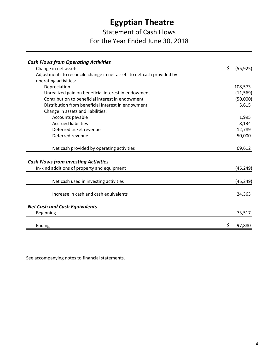### Statement of Cash Flows For the Year Ended June 30, 2018

| <b>Cash Flows from Operating Activities</b>                           |                 |
|-----------------------------------------------------------------------|-----------------|
| Change in net assets                                                  | \$<br>(55, 925) |
| Adjustments to reconcile change in net assets to net cash provided by |                 |
| operating activities:                                                 |                 |
| Depreciation                                                          | 108,573         |
| Unrealized gain on beneficial interest in endowment                   | (11, 569)       |
| Contribution to beneficial interest in endowment                      | (50,000)        |
| Distribution from beneficial interest in endowment                    | 5,615           |
| Change in assets and liabilities:                                     |                 |
| Accounts payable                                                      | 1,995           |
| <b>Accrued liabilities</b>                                            | 8,134           |
| Deferred ticket revenue                                               | 12,789          |
| Deferred revenue                                                      | 50,000          |
|                                                                       |                 |
| Net cash provided by operating activities                             | 69,612          |
|                                                                       |                 |
| <b>Cash Flows from Investing Activities</b>                           |                 |
| In-kind additions of property and equipment                           | (45, 249)       |
| Net cash used in investing activities                                 | (45, 249)       |
|                                                                       |                 |
| Increase in cash and cash equivalents                                 | 24,363          |
| <b>Net Cash and Cash Equivalents</b>                                  |                 |
| <b>Beginning</b>                                                      | 73,517          |
|                                                                       |                 |
| Ending                                                                | \$<br>97,880    |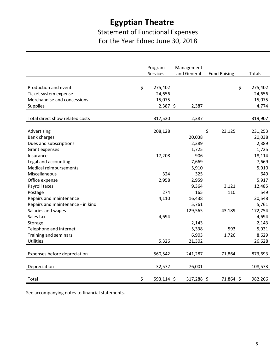### Statement of Functional Expenses For the Year Edned June 30, 2018

|                                   | Program<br>Services | Management<br>and General | <b>Fund Raising</b> | Totals        |
|-----------------------------------|---------------------|---------------------------|---------------------|---------------|
|                                   |                     |                           |                     |               |
| Production and event              | \$<br>275,402       |                           |                     | \$<br>275,402 |
| Ticket system expense             | 24,656              |                           |                     | 24,656        |
| Merchandise and concessions       | 15,075              |                           |                     | 15,075        |
| Supplies                          | $2,387$ \$          | 2,387                     |                     | 4,774         |
|                                   |                     |                           |                     |               |
| Total direct show related costs   | 317,520             | 2,387                     |                     | 319,907       |
| Advertising                       | 208,128             |                           | \$<br>23,125        | 231,253       |
| <b>Bank charges</b>               |                     | 20,038                    |                     | 20,038        |
| Dues and subscriptions            |                     | 2,389                     |                     | 2,389         |
| Grant expenses                    |                     | 1,725                     |                     | 1,725         |
| Insurance                         | 17,208              | 906                       |                     | 18,114        |
| Legal and accounting              |                     | 7,669                     |                     | 7,669         |
| Medical reimbursements            |                     | 5,910                     |                     | 5,910         |
| Miscellaneous                     | 324                 | 325                       |                     | 649           |
| Office expense                    | 2,958               | 2,959                     |                     | 5,917         |
| Payroll taxes                     |                     | 9,364                     | 3,121               | 12,485        |
| Postage                           | 274                 | 165                       | 110                 | 549           |
| Repairs and maintenance           | 4,110               | 16,438                    |                     | 20,548        |
| Repairs and maintenance - in kind |                     | 5,761                     |                     | 5,761         |
| Salaries and wages                |                     | 129,565                   | 43,189              | 172,754       |
| Sales tax                         | 4,694               |                           |                     | 4,694         |
| Storage                           |                     | 2,143                     |                     | 2,143         |
| Telephone and internet            |                     | 5,338                     | 593                 | 5,931         |
| Training and seminars             |                     | 6,903                     | 1,726               | 8,629         |
| <b>Utilities</b>                  | 5,326               | 21,302                    |                     | 26,628        |
|                                   |                     |                           |                     |               |
| Expenses before depreciation      | 560,542             | 241,287                   | 71,864              | 873,693       |
| Depreciation                      | 32,572              | 76,001                    |                     | 108,573       |
| Total                             | \$<br>593,114 \$    | 317,288 \$                | 71,864 \$           | 982,266       |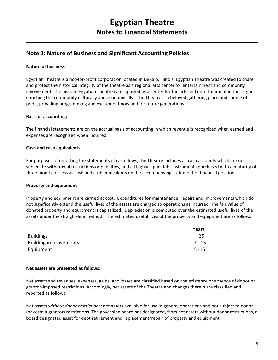#### **Note 1: Nature of Business and Significant Accounting Policies**

#### **Nature of business**

Egyptian Theatre is a not-for-profit corporation located in DeKalb, Illinois. Egyptian Theatre was created to share and protect the historical integrity of the theatre as a regional arts center for entertainment and community involvement. The historic Egyptian Theatre is recognized as a center for the arts and entertainment in the region, enriching the community culturally and economically. The Theatre is a beloved gathering place and source of pride, providing programming and excitement now and for future generations.

#### **Basis of accounting:**

The financial statements are on the accrual basis of accounting in which revenue is recognized when earned and expenses are recognized when incurred.

#### **Cash and cash equivalents**

For purposes of reporting the statements of cash flows, the Theatre includes all cash accounts which are not subject to withdrawal restrictions or penalties, and all highly liquid debt instruments purchased with a maturity of three months or less as cash and cash equivalents on the accompanying statement of financial position.

#### **Property and equipment**

Property and equipment are carried at cost. Expenditures for maintenance, repairs and improvements which do not significantly extend the useful lives of the assets are charged to operations as incurred. The fair value of donated property and equipment is capitalized. Depreciation is computed over the estimated useful lives of the assets under the straight-line method. The estimated useful lives of the property and equipment are as follows:

|                              | Years    |
|------------------------------|----------|
| <b>Buildings</b>             | -39      |
| <b>Building improvements</b> | $7 - 15$ |
| Equipment                    | $5 - 15$ |

#### **Net assets are presented as follows:**

Net assets and revenues, expenses, gains, and losses are classified based on the existence or absence of donor or grantor-imposed restrictions. Accordingly, net assets of the Theatre and changes therein are classified and reported as follows:

Net assets *without donor restrictions:* net assets available for use in general operations and not subject to donor (or certain grantor) restrictions. The governing board has designated, from net assets without donor restrictions, a board designated asset for debt retirement and replacement/repair of property and equipment.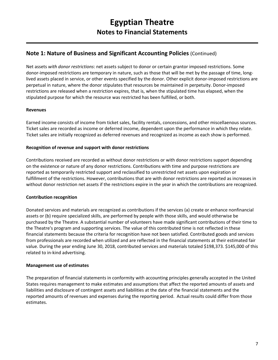#### **Note 1: Nature of Business and Significant Accounting Policies** (Continued)

Net assets *with donor restrictions*: net assets subject to donor or certain grantor imposed restrictions. Some donor-imposed restrictions are temporary in nature, such as those that will be met by the passage of time, longlived assets placed in service, or other events specified by the donor. Other explicit donor-imposed restrictions are perpetual in nature, where the donor stipulates that resources be maintained in perpetuity. Donor-imposed restrictions are released when a restriction expires, that is, when the stipulated time has elapsed, when the stipulated purpose for which the resource was restricted has been fulfilled, or both.

#### **Revenues**

Earned income consists of income from ticket sales, facility rentals, concessions, and other miscellaenous sources. Ticket sales are recorded as income or deferred income, dependent upon the performance in which they relate. Ticket sales are initially recognized as deferred revenues and recognized as income as each show is performed.

#### **Recognition of revenue and support with donor restrictions**

Contributions received are recorded as without donor restrictions or with donor restrictions support depending on the existence or nature of any donor restrictions. Contributions with time and purpose restrictions are reported as temporarily restricted support and reclassified to unrestricted net assets upon expiration or fulfillment of the restrictions. However, contributions that are with donor restrictions are reported as increases in without donor restriction net assets if the restrictions expire in the year in which the contributions are recognized.

#### **Contribution recognition**

Donated services and materials are recognized as contributions if the services (a) create or enhance nonfinancial assets or (b) require specialized skills, are performed by people with those skills, and would otherwise be purchased by the Theatre. A substantial number of volunteers have made significant contributions of their time to the Theatre's program and supporting services. The value of this contributed time is not reflected in these financial statements because the criteria for recognition have not been satisfied. Contributed goods and services from professionals are recorded when utilized and are reflected in the financial statements at their estimated fair value. During the year ending June 30, 2018, contributed services and materials totaled \$198,373. \$145,000 of this related to in-kind advertising.

#### **Management use of estimates**

The preparation of financial statements in conformity with accounting principles generally accepted in the United States requires management to make estimates and assumptions that affect the reported amounts of assets and liabilities and disclosure of contingent assets and liabilities at the date of the financial statements and the reported amounts of revenues and expenses during the reporting period. Actual results could differ from those estimates.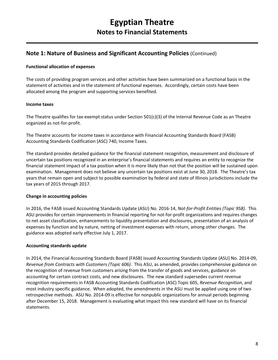#### **Note 1: Nature of Business and Significant Accounting Policies** (Continued)

#### **Functional allocation of expenses**

The costs of providing program services and other activities have been summarized on a functional basis in the statement of activities and in the statement of functional expenses. Accordingly, certain costs have been allocated among the program and supporting services benefited.

#### **Income taxes**

The Theatre qualifies for tax-exempt status under Section 501(c)(3) of the Internal Revenue Code as an Theatre organized as not-for-profit.

The Theatre accounts for income taxes in accordance with Financial Accounting Standards Board (FASB) Accounting Standards Codification (ASC) 740, Income Taxes.

The standard provides detailed guidance for the financial statement recognition, measurement and disclosure of uncertain tax positions recognized in an enterprise's financial statements and requires an entity to recognize the financial statement impact of a tax position when it is more likely than not that the position will be sustained upon examination. Management does not believe any uncertain tax positions exist at June 30, 2018. The Theatre's tax years that remain open and subject to possible examination by federal and state of Illinois jurisdictions include the tax years of 2015 through 2017.

#### **Change in accounting policies**

In 2016, the FASB issued Accounting Standards Update (ASU) No. 2016-14, *Not-for-Profit Entities (Topic 958)*. This ASU provides for certain improvements in financial reporting for not-for-profit organizations and requires changes to net asset classification, enhancements to liquidity presentation and disclosures, presentation of an analysis of expenses by function and by nature, netting of investment expenses with return, among other changes. The guidance was adopted early effective July 1, 2017.

#### **Accounting standards update**

In 2014, the Financial Accounting Standards Board (FASB) issued Accounting Standards Update (ASU) No. 2014-09, *Revenue from Contracts with Customers (Topic 606)*. This ASU, as amended, provides comprehensive guidance on the recognition of revenue from customers arising from the transfer of goods and services, guidance on accounting for certain contract costs, and new disclosures. The new standard supersedes current revenue recognition requirements in FASB Accounting Standards Codification (ASC) Topic 605, *Revenue Recognition*, and most industry specific guidance. When adopted, the amendments in the ASU must be applied using one of two retrospective methods. ASU No. 2014-09 is effective for nonpublic organizations for annual periods beginning after December 15, 2018. Management is evaluating what impact this new standard will have on its financial statements.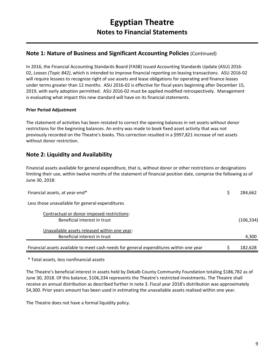#### **Note 1: Nature of Business and Significant Accounting Policies** (Continued)

In 2016, the Financial Accounting Standards Board (FASB) issued Accounting Standards Update (ASU) 2016- 02, *Leases (Topic 842)*, which is intended to improve financial reporting on leasing transactions. ASU 2016-02 will require lessees to recognize right of use assets and lease obligations for operating and finance leases under terms greater than 12 months. ASU 2016-02 is effective for fiscal years beginning after December 15, 2019, with early adoption permitted. ASU 2016-02 must be applied modified retrospectively. Management is evaluating what impact this new standard will have on its financial statements.

#### **Prior Period Adjustment**

The statement of activities has been restated to correct the opening balances in net assets without donor restrictions for the beginning balances. An entry was made to book fixed asset activity that was not previously recorded on the Theatre's books. This correction resulted in a \$997,821 increase of net assets without donor restriction.

#### **Note 2: Liquidity and Availability**

Financial assets available for general expenditure, that is, without donor or other restrictions or designations limiting their use, within twelve months of the statement of financial position date, comprise the following as of June 30, 2018:

| Financial assets, at year-end*                                                         | 284,662   |
|----------------------------------------------------------------------------------------|-----------|
| Less those unavailable for general expenditures                                        |           |
| Contractual or donor-imposed restrictions:<br>Beneficial interest in trust             | (106,334) |
| Unavailable assets released within one year:<br>Beneficial interest in trust           | 4,300     |
| Financial assets available to meet cash needs for general expenditures within one year | 182,628   |

\* Total assets, less nonfinancial assets

The Theatre's beneficial interest in assets held by Dekalb County Community Foundation totaling \$186,782 as of June 30, 2018. Of this balance, \$106,334 represents the Theatre's restricted investments. The Theatre shall receive an annual distribution as described further in note 3. Fiscal year 2018's distribution was approximately \$4,300. Prior years amount has been used in estimating the unavailable assets realised within one year.

The Theatre does not have a formal liquidity policy.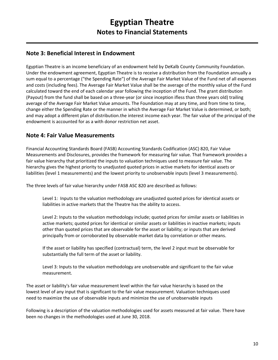#### **Note 3: Beneficial Interest in Endowment**

Egyptian Theatre is an income beneficiary of an endowment held by DeKalb County Community Foundation. Under the endowment agreement, Egyptian Theatre is to receive a distribution from the Foundation annually a sum equal to a percentage ("the Spending Rate") of the Average Fair Market Value of the Fund net of all expenses and costs (including fees). The Average Fair Market Value shall be the average of the monthly value of the Fund calculated toward the end of each calendar year following the inception of the Fund. The grant distribution (Payout) from the fund shall be based on a three-year (or since inception ifless than three years old) trailing average of the Average Fair Market Value amounts. The Foundation may at any time, and from time to time, change either the Spending Rate or the manner in which the Average Fair Market Value is determined, or both; and may adopt a different plan of distribution.the interest income each year. The fair value of the principal of the endowment is accounted for as a with donor restriction net asset.

#### **Note 4: Fair Value Measurements**

Financial Accounting Standards Board (FASB) Accounting Standards Codification (ASC) 820, Fair Value Measurements and Disclosures, provides the framework for measuring fair value. That framework provides a fair value hierarchy that prioritized the inputs to valuation techniques used to measure fair value. The hierarchy gives the highest priority to unadjusted quoted prices in active markets for identical assets or liabilities (level 1 measurements) and the lowest priority to unobservable inputs (level 3 measurements).

The three levels of fair value hierarchy under FASB ASC 820 are described as follows:

Level 1: Inputs to the valuation methodology are unadjusted quoted prices for identical assets or liabilities in active markets that the Theatre has the ability to access.

Level 2: Inputs to the valuation methodology include; quoted prices for similar assets or liabilities in active markets; quoted prices for identical or similar assets or liabilities in inactive markets; inputs other than quoted prices that are observable for the asset or liability; or inputs that are derived principally from or corroborated by observable market data by correlation or other means.

If the asset or liability has specified (contractual) term, the level 2 input must be observable for substantially the full term of the asset or liability.

Level 3: Inputs to the valuation methodology are unobservable and significant to the fair value measurement.

The asset or liability's fair value measurement level within the fair value hierarchy is based on the lowest level of any input that is significant to the fair value measurement. Valuation techniques used need to maximize the use of observable inputs and minimize the use of unobservable inputs

Following is a description of the valuation methodologies used for assets measured at fair value. There have been no changes in the methodologies used at June 30, 2018.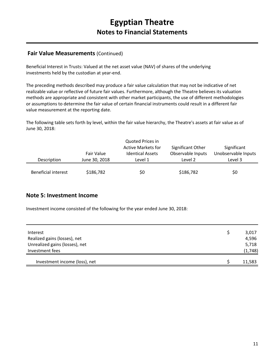#### **Fair Value Measurements** (Continued)

Beneficial Interest in Trusts: Valued at the net asset value (NAV) of shares of the underlying investments held by the custodian at year-end.

The preceding methods described may produce a fair value calculation that may not be indicative of net realizable value or reflective of future fair values. Furthermore, although the Theatre believes its valuation methods are appropriate and consistent with other market participants, the use of different methodologies or assumptions to determine the fair value of certain financial instruments could result in a different fair value measurement at the reporting date.

The following table sets forth by level, within the fair value hierarchy, the Theatre's assets at fair value as of June 30, 2018:

| Description                | Fair Value<br>June 30, 2018 | Quoted Prices in<br><b>Active Markets for</b><br><b>Identical Assets</b><br>Level 1 | Significant Other<br>Observable Inputs<br>Level 2 | Significant<br>Unobservable Inputs<br>Level 3 |
|----------------------------|-----------------------------|-------------------------------------------------------------------------------------|---------------------------------------------------|-----------------------------------------------|
| <b>Beneficial interest</b> | \$186,782                   | \$0                                                                                 | \$186,782                                         | \$0                                           |

#### **Note 5: Investment Income**

Investment income consisted of the following for the year ended June 30, 2018:

| Interest                       | 3,017   |
|--------------------------------|---------|
| Realized gains (losses), net   | 4,596   |
| Unrealized gains (losses), net | 5,718   |
| Investment fees                | (1,748) |
| Investment income (loss), net  | 11,583  |
|                                |         |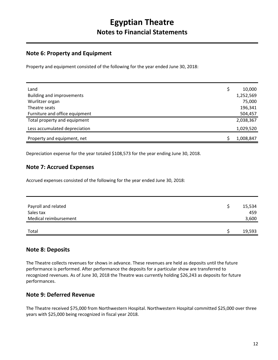#### **Note 6: Property and Equipment**

Property and equipment consisted of the following for the year ended June 30, 2018:

| Land                             | 10,000    |
|----------------------------------|-----------|
| <b>Building and improvements</b> | 1,252,569 |
| Wurlitzer organ                  | 75,000    |
| Theatre seats                    | 196,341   |
| Furniture and office equipment   | 504,457   |
| Total property and equipment     | 2,038,367 |
| Less accumulated depreciation    | 1,029,520 |
| Property and equipment, net      | 1,008,847 |

Depreciation expense for the year totaled \$108,573 for the year ending June 30, 2018.

#### **Note 7: Accrued Expenses**

Accrued expenses consisted of the following for the year ended June 30, 2018:

| Payroll and related<br>Sales tax | 15,534<br>459 |
|----------------------------------|---------------|
| Medical reimbursement            | 3,600         |
| Total                            | 19,593        |

#### **Note 8: Deposits**

The Theatre collects revenues for shows in advance. These revenues are held as deposits until the future performance is performed. After performance the deposits for a particular show are transferred to recognized revenues. As of June 30, 2018 the Theatre was currently holding \$26,243 as deposits for future performances.

#### **Note 9: Deferred Revenue**

The Theatre received \$75,000 from Northwestern Hospital. Northwestern Hospital committed \$25,000 over three years with \$25,000 being recognized in fiscal year 2018.